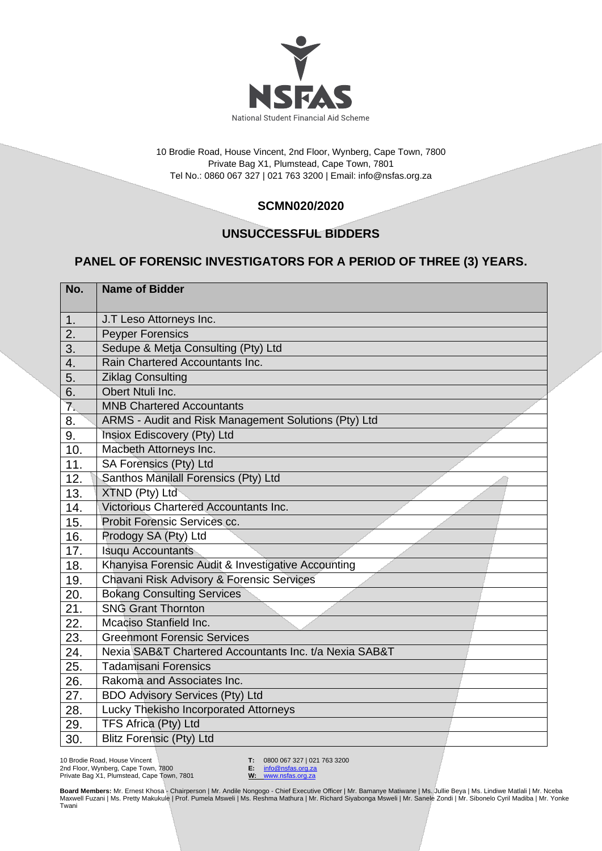

10 Brodie Road, House Vincent, 2nd Floor, Wynberg, Cape Town, 7800 Private Bag X1, Plumstead, Cape Town, 7801 Tel No.: 0860 067 327 | 021 763 3200 | Email[: info@nsfas.org.za](mailto:info@nsfas.org.za)

## **SCMN020/2020**

## **UNSUCCESSFUL BIDDERS**

## **PANEL OF FORENSIC INVESTIGATORS FOR A PERIOD OF THREE (3) YEARS.**

| No. | <b>Name of Bidder</b>                                  |
|-----|--------------------------------------------------------|
|     |                                                        |
| 1.  | J.T Leso Attorneys Inc.                                |
| 2.  | <b>Peyper Forensics</b>                                |
| 3.  | Sedupe & Metja Consulting (Pty) Ltd                    |
| 4.  | Rain Chartered Accountants Inc.                        |
| 5.  | <b>Ziklag Consulting</b>                               |
| 6.  | Obert Ntuli Inc.                                       |
| 7.  | <b>MNB Chartered Accountants</b>                       |
| 8.  | ARMS - Audit and Risk Management Solutions (Pty) Ltd   |
| 9.  | Insiox Ediscovery (Pty) Ltd                            |
| 10. | Macbeth Attorneys Inc.                                 |
| 11. | SA Forensics (Pty) Ltd                                 |
| 12. | Santhos Manilall Forensics (Pty) Ltd                   |
| 13. | XTND (Pty) Ltd                                         |
| 14. | Victorious Chartered Accountants Inc.                  |
| 15. | Probit Forensic Services cc.                           |
| 16. | Prodogy SA (Pty) Ltd                                   |
| 17. | <b>Isuqu Accountants</b>                               |
| 18. | Khanyisa Forensic Audit & Investigative Accounting     |
| 19. | Chavani Risk Advisory & Forensic Services              |
| 20. | <b>Bokang Consulting Services</b>                      |
| 21. | <b>SNG Grant Thornton</b>                              |
| 22. | Mcaciso Stanfield Inc.                                 |
| 23. | <b>Greenmont Forensic Services</b>                     |
| 24. | Nexia SAB&T Chartered Accountants Inc. t/a Nexia SAB&T |
| 25. | <b>Tadamisani Forensics</b>                            |
| 26. | Rakoma and Associates Inc.                             |
| 27. | <b>BDO Advisory Services (Pty) Ltd</b>                 |
| 28. | Lucky Thekisho Incorporated Attorneys                  |
| 29. | TFS Africa (Pty) Ltd                                   |
| 30. | <b>Blitz Forensic (Pty) Ltd</b>                        |

10 Brodie Road, House Vincent 2nd Floor, Wynberg, Cape Town, 7800 Private Bag X1, Plumstead, Cape Town, 7801 **T:** 0800 067 327 | 021 763 3200<br>**E:** info@nsfas.org.za

**E:** [info@nsfas.org.za](mailto:info@nsfas.org.za) **W:** [www.nsfas.org.za](http://www.nsfas.org.za/)

**Board Members:** Mr. Ernest Khosa - Chairperson | Mr. Andile Nongogo - Chief Executive Officer | Mr. Bamanye Matiwane | Ms. Jullie Beya | Ms. Lindiwe Matlali | Mr. Nceba<br>Maxwell Fuzani | Ms. Pretty Makukule | Prof. Pumela